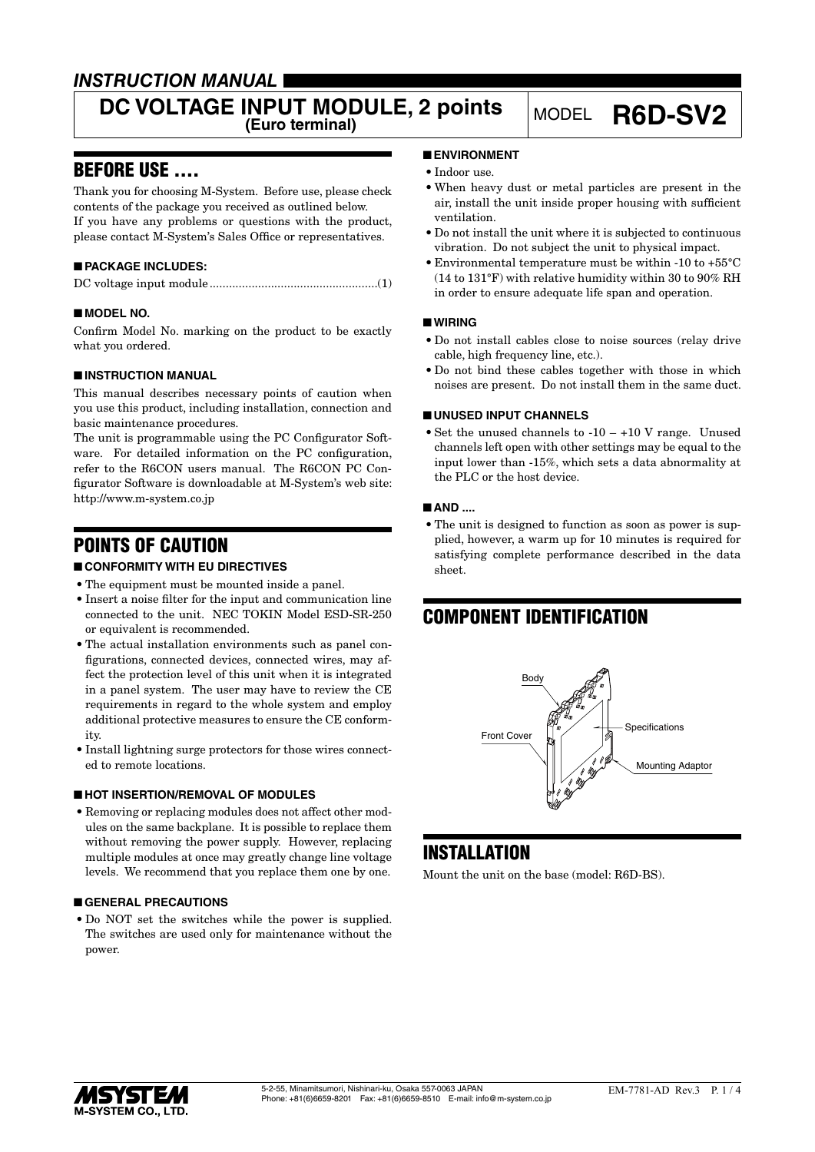### *INSTRUCTION MANUAL*

# **DC VOLTAGE INPUT MODULE, 2 points** MODEL **R6D-SV2**

### BEFORE USE ....

Thank you for choosing M-System. Before use, please check contents of the package you received as outlined below. If you have any problems or questions with the product, please contact M-System's Sales Office or representatives.

### ■ **PACKAGE INCLUDES:**

|--|--|--|--|

### ■ **MODEL NO.**

Confirm Model No. marking on the product to be exactly what you ordered.

### ■ **INSTRUCTION MANUAL**

This manual describes necessary points of caution when you use this product, including installation, connection and basic maintenance procedures.

The unit is programmable using the PC Configurator Software. For detailed information on the PC configuration, refer to the R6CON users manual. The R6CON PC Configurator Software is downloadable at M-System's web site: http://www.m-system.co.jp

### POINTS OF CAUTION

### ■ **CONFORMITY WITH EU DIRECTIVES**

- The equipment must be mounted inside a panel.
- • Insert a noise filter for the input and communication line connected to the unit. NEC TOKIN Model ESD-SR-250 or equivalent is recommended.
- The actual installation environments such as panel configurations, connected devices, connected wires, may affect the protection level of this unit when it is integrated in a panel system. The user may have to review the CE requirements in regard to the whole system and employ additional protective measures to ensure the CE conformity.
- Install lightning surge protectors for those wires connected to remote locations.

### ■ **HOT INSERTION/REMOVAL OF MODULES**

• Removing or replacing modules does not affect other modules on the same backplane. It is possible to replace them without removing the power supply. However, replacing multiple modules at once may greatly change line voltage levels. We recommend that you replace them one by one.

### ■ **GENERAL PRECAUTIONS**

• Do NOT set the switches while the power is supplied. The switches are used only for maintenance without the power.

### ■ **ENVIRONMENT**

- Indoor use.
- • When heavy dust or metal particles are present in the air, install the unit inside proper housing with sufficient ventilation.
- • Do not install the unit where it is subjected to continuous vibration. Do not subject the unit to physical impact.
- • Environmental temperature must be within -10 to +55°C (14 to 131°F) with relative humidity within 30 to 90% RH in order to ensure adequate life span and operation.

#### ■ **WIRING**

- • Do not install cables close to noise sources (relay drive cable, high frequency line, etc.).
- Do not bind these cables together with those in which noises are present. Do not install them in the same duct.

### ■ **UNUSED INPUT CHANNELS**

• Set the unused channels to  $-10 - +10$  V range. Unused channels left open with other settings may be equal to the input lower than -15%, which sets a data abnormality at the PLC or the host device.

#### ■ **AND ....**

• The unit is designed to function as soon as power is supplied, however, a warm up for 10 minutes is required for satisfying complete performance described in the data sheet.

## COMPONENT IDENTIFICATION



### **INSTALLATION**

Mount the unit on the base (model: R6D-BS).

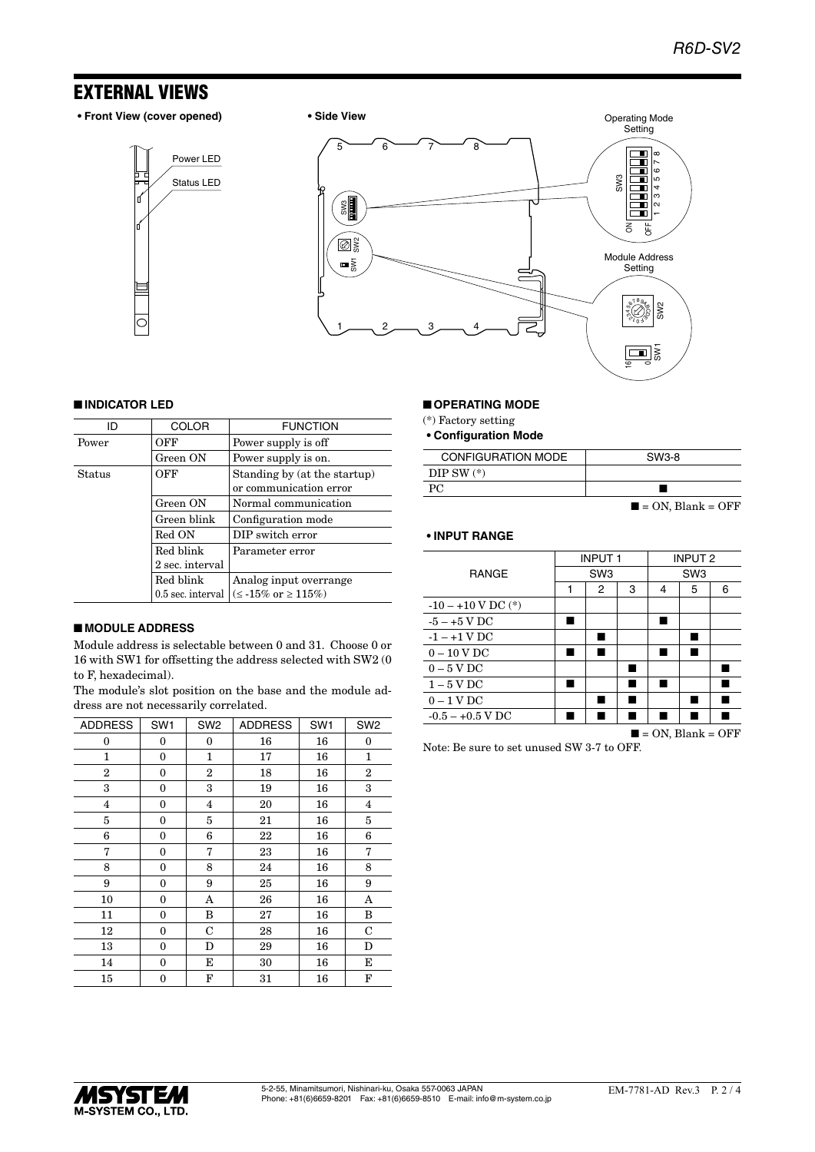### EXTERNAL VIEWS

**• Front View (cover opened) • Side View**







#### ■ **INDICATOR LED**

| ID     | <b>COLOR</b>      | <b>FUNCTION</b>                                        |
|--------|-------------------|--------------------------------------------------------|
|        |                   |                                                        |
| Power  | OFF               | Power supply is off                                    |
|        | Green ON          | Power supply is on.                                    |
| Status | OFF               | Standing by (at the startup)<br>or communication error |
|        | Green ON          | Normal communication                                   |
|        | Green blink       | Configuration mode                                     |
|        | Red ON            | DIP switch error                                       |
|        | Red blink         | Parameter error                                        |
|        | 2 sec. interval   |                                                        |
|        | Red blink         | Analog input overrange                                 |
|        | 0.5 sec. interval | $(\leq -15\% \text{ or } \geq 115\%)$                  |

### ■ **MODULE ADDRESS**

Module address is selectable between 0 and 31. Choose 0 or 16 with SW1 for offsetting the address selected with SW2 (0 to F, hexadecimal).

The module's slot position on the base and the module address are not necessarily correlated.

| <b>ADDRESS</b>          | SW <sub>1</sub> | SW <sub>2</sub> | <b>ADDRESS</b> | SW <sub>1</sub> | SW <sub>2</sub> |
|-------------------------|-----------------|-----------------|----------------|-----------------|-----------------|
| 0                       | 0               | 0               | 16             | 16              | $\bf{0}$        |
| 1                       | 0               | 1               | 17             | 16              | 1               |
| 2                       | 0               | 2               | 18             | 16              | 2               |
| 3                       | 0               | 3               | 19             | 16              | 3               |
| $\overline{\mathbf{4}}$ | 0               | 4               | 20             | 16              | $\overline{4}$  |
| 5                       | 0               | 5               | 21             | 16              | 5               |
| 6                       | 0               | 6               | 22             | 16              | 6               |
| 7                       | 0               | 7               | 23             | 16              | 7               |
| 8                       | 0               | 8               | 24             | 16              | 8               |
| 9                       | 0               | 9               | 25             | 16              | 9               |
| 10                      | 0               | A               | 26             | 16              | A               |
| 11                      | 0               | B               | 27             | 16              | B               |
| 12                      | 0               | $\mathbf C$     | 28             | 16              | $\mathbf C$     |
| 13                      | 0               | D               | 29             | 16              | D               |
| 14                      | 0               | E               | 30             | 16              | Е               |
| 15                      | 0               | F               | 31             | 16              | F               |

### ■ **OPERATING MODE**

(\*) Factory setting

**• Configuration Mode**

| <b>CONFIGURATION MODE</b> | SW3-8                            |
|---------------------------|----------------------------------|
| DIP SW $(*)$              |                                  |
| PC.                       |                                  |
|                           | $\blacksquare$ = ON, Blank = OFF |

### **• INPUT RANGE**

|                        | <b>INPUT1</b>   |                |                 | <b>INPUT 2</b> |   |                                  |
|------------------------|-----------------|----------------|-----------------|----------------|---|----------------------------------|
| <b>RANGE</b>           | SW <sub>3</sub> |                | SW <sub>3</sub> |                |   |                                  |
|                        | 1               | $\overline{2}$ | 3               | 4              | 5 | 6                                |
| $-10 - +10$ V DC $(*)$ |                 |                |                 |                |   |                                  |
| $-5 - +5$ V DC         |                 |                |                 |                |   |                                  |
| $-1 - +1$ V DC         |                 | ٠              |                 |                |   |                                  |
| $0 - 10$ V DC          | п               | ٠              |                 | н              |   |                                  |
| $0-5$ V DC             |                 |                |                 |                |   |                                  |
| $1-5$ V DC             | ш               |                | ٠               | ш              |   |                                  |
| $0-1$ V DC             |                 | ■              |                 |                |   |                                  |
| $-0.5 - +0.5$ V DC     |                 |                |                 |                |   |                                  |
|                        |                 |                |                 |                |   | $\blacksquare$ = ON. Blank = OFF |

Note: Be sure to set unused SW 3-7 to OFF.

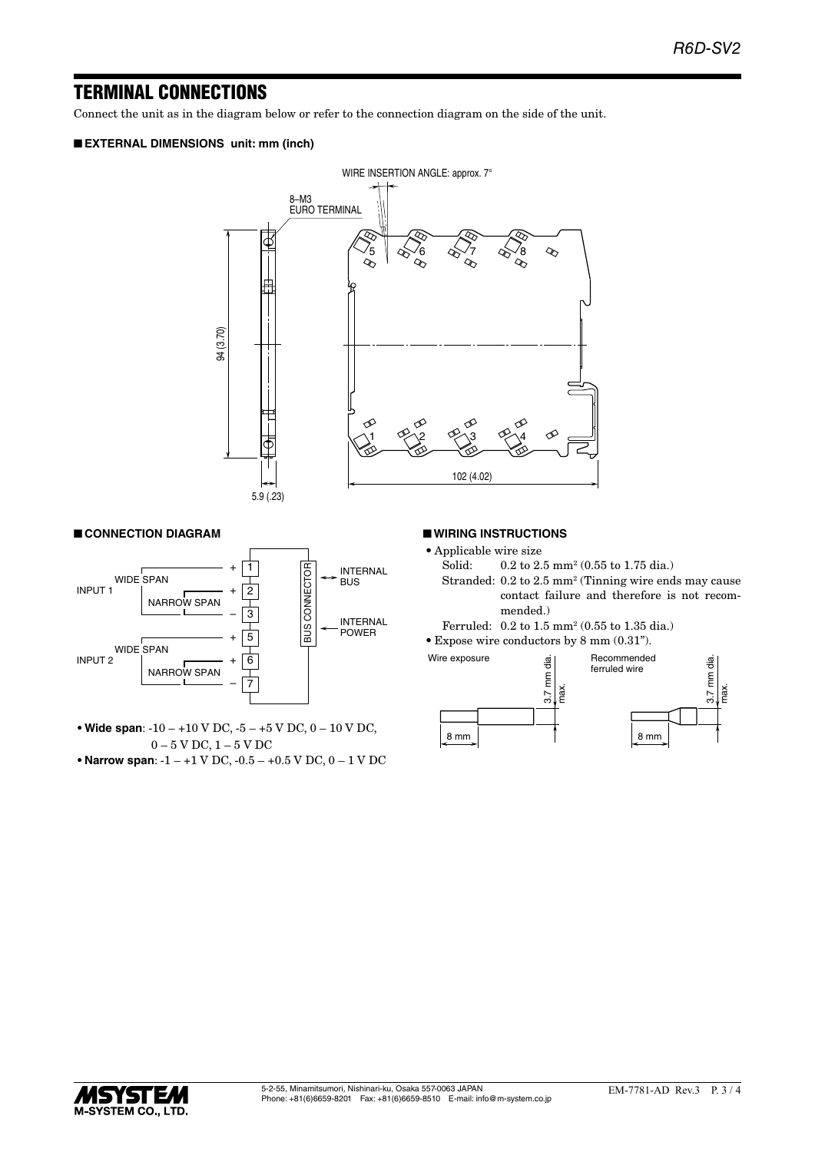### TERMINAL CONNECTIONS

Connect the unit as in the diagram below or refer to the connection diagram on the side of the unit.

### ■ **EXTERNAL DIMENSIONS unit: mm (inch)**



### ■ **CONNECTION DIAGRAM**



**• Wide span**: -10 – +10 V DC, -5 – +5 V DC, 0 – 10 V DC, 0 – 5 V DC, 1 – 5 V DC

**• Narrow span**: -1 – +1 V DC, -0.5 – +0.5 V DC, 0 – 1 V DC

#### ■ **WIRING INSTRUCTIONS**

- Applicable wire size<br>Solid:  $0.2$  to  $2$ .
- Solid: 0.2 to 2.5 mm<sup>2</sup> (0.55 to 1.75 dia.)
- Stranded: 0.2 to 2.5 mm<sup>2</sup> (Tinning wire ends may cause contact failure and therefore is not recommended.)
- Ferruled: 0.2 to 1.5 mm2 (0.55 to 1.35 dia.)
- • Expose wire conductors by 8 mm (0.31").